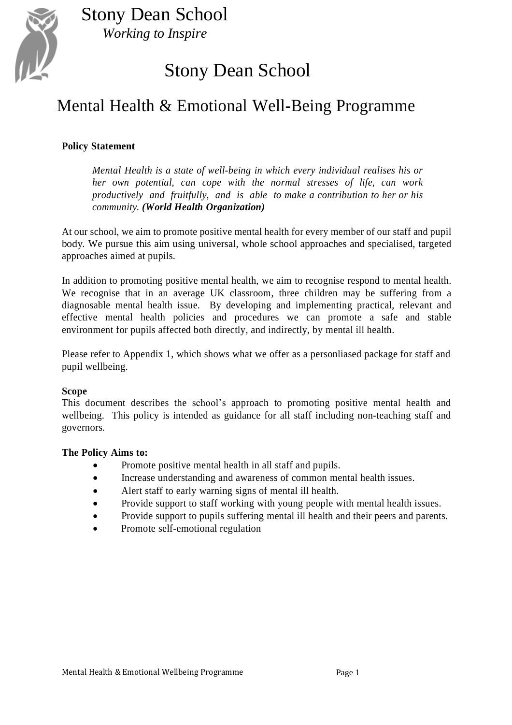

## Stony Dean School

## Mental Health & Emotional Well-Being Programme

#### **Policy Statement**

*Mental Health is a state of well-being in which every individual realises his or her own potential, can cope with the normal stresses of life, can work productively and fruitfully, and is able to make a contribution to her or his community. (World Health Organization)*

At our school, we aim to promote positive mental health for every member of our staff and pupil body. We pursue this aim using universal, whole school approaches and specialised, targeted approaches aimed at pupils.

In addition to promoting positive mental health, we aim to recognise respond to mental health. We recognise that in an average UK classroom, three children may be suffering from a diagnosable mental health issue. By developing and implementing practical, relevant and effective mental health policies and procedures we can promote a safe and stable environment for pupils affected both directly, and indirectly, by mental ill health.

Please refer to Appendix 1, which shows what we offer as a personliased package for staff and pupil wellbeing.

#### **Scope**

This document describes the school's approach to promoting positive mental health and wellbeing. This policy is intended as guidance for all staff including non-teaching staff and governors.

#### **The Policy Aims to:**

- Promote positive mental health in all staff and pupils.
- Increase understanding and awareness of common mental health issues.
- Alert staff to early warning signs of mental ill health.
- Provide support to staff working with young people with mental health issues.
- Provide support to pupils suffering mental ill health and their peers and parents.
- Promote self-emotional regulation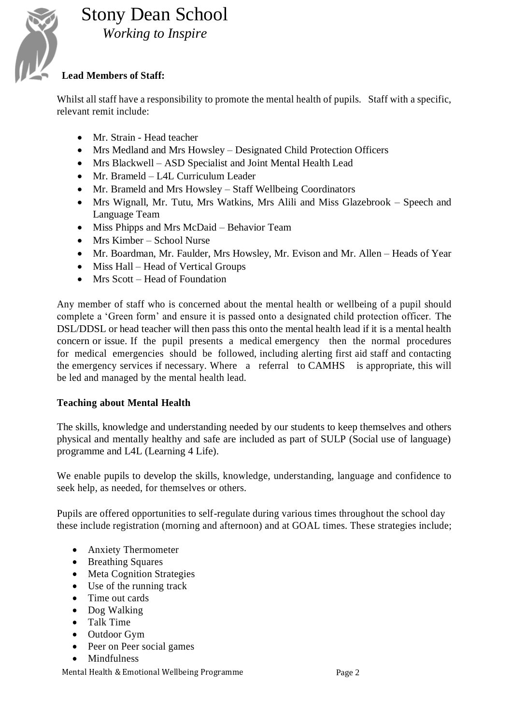

#### **Lead Members of Staff:**

Whilst all staff have a responsibility to promote the mental health of pupils. Staff with a specific, relevant remit include:

- Mr. Strain Head teacher
- Mrs Medland and Mrs Howsley Designated Child Protection Officers
- Mrs Blackwell ASD Specialist and Joint Mental Health Lead
- Mr. Brameld L4L Curriculum Leader
- Mr. Brameld and Mrs Howsley Staff Wellbeing Coordinators
- Mrs Wignall, Mr. Tutu, Mrs Watkins, Mrs Alili and Miss Glazebrook Speech and Language Team
- Miss Phipps and Mrs McDaid Behavior Team
- Mrs Kimber School Nurse
- Mr. Boardman, Mr. Faulder, Mrs Howsley, Mr. Evison and Mr. Allen Heads of Year
- Miss Hall Head of Vertical Groups
- Mrs Scott Head of Foundation

Any member of staff who is concerned about the mental health or wellbeing of a pupil should complete a 'Green form' and ensure it is passed onto a designated child protection officer. The DSL/DDSL or head teacher will then pass this onto the mental health lead if it is a mental health concern or issue. If the pupil presents a medical emergency then the normal procedures for medical emergencies should be followed, including alerting first aid staff and contacting the emergency services if necessary. Where a referral to CAMHS is appropriate, this will be led and managed by the mental health lead.

#### **Teaching about Mental Health**

The skills, knowledge and understanding needed by our students to keep themselves and others physical and mentally healthy and safe are included as part of SULP (Social use of language) programme and L4L (Learning 4 Life).

We enable pupils to develop the skills, knowledge, understanding, language and confidence to seek help, as needed, for themselves or others.

Pupils are offered opportunities to self-regulate during various times throughout the school day these include registration (morning and afternoon) and at GOAL times. These strategies include;

- Anxiety Thermometer
- Breathing Squares
- Meta Cognition Strategies
- Use of the running track
- Time out cards
- Dog Walking
- Talk Time
- Outdoor Gym
- Peer on Peer social games
- Mindfulness

Mental Health & Emotional Wellbeing Programme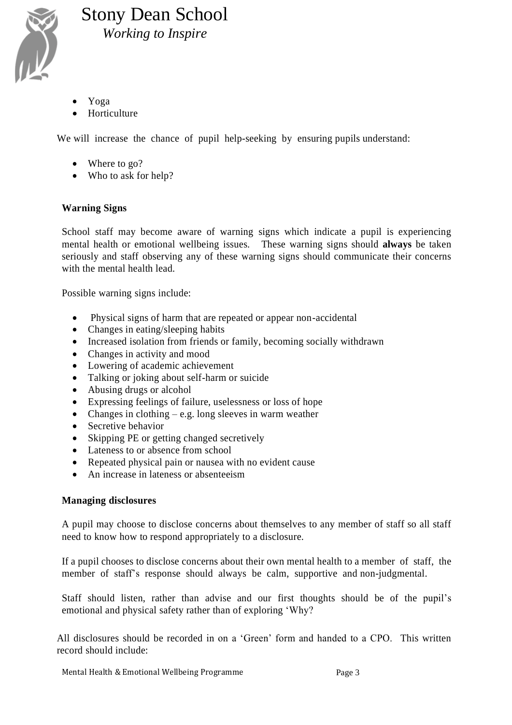

- Yoga
- Horticulture

We will increase the chance of pupil help-seeking by ensuring pupils understand:

- Where to go?
- Who to ask for help?

#### **Warning Signs**

School staff may become aware of warning signs which indicate a pupil is experiencing mental health or emotional wellbeing issues. These warning signs should **always** be taken seriously and staff observing any of these warning signs should communicate their concerns with the mental health lead.

Possible warning signs include:

- Physical signs of harm that are repeated or appear non-accidental
- Changes in eating/sleeping habits
- Increased isolation from friends or family, becoming socially withdrawn
- Changes in activity and mood
- Lowering of academic achievement
- Talking or joking about self-harm or suicide
- Abusing drugs or alcohol
- Expressing feelings of failure, uselessness or loss of hope
- Changes in clothing  $-e.g.$  long sleeves in warm weather
- Secretive behavior
- Skipping PE or getting changed secretively
- Lateness to or absence from school
- Repeated physical pain or nausea with no evident cause
- An increase in lateness or absenteeism

#### **Managing disclosures**

A pupil may choose to disclose concerns about themselves to any member of staff so all staff need to know how to respond appropriately to a disclosure.

If a pupil chooses to disclose concerns about their own mental health to a member of staff, the member of staff's response should always be calm, supportive and non-judgmental.

Staff should listen, rather than advise and our first thoughts should be of the pupil's emotional and physical safety rather than of exploring 'Why?

All disclosures should be recorded in on a 'Green' form and handed to a CPO. This written record should include: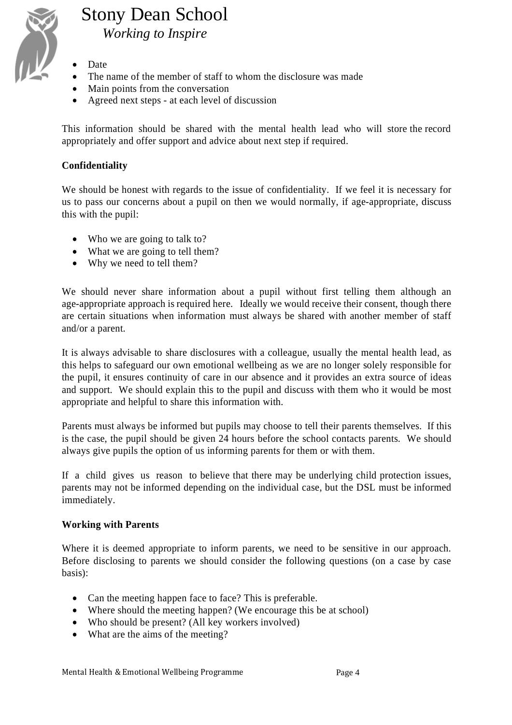

- Date
- The name of the member of staff to whom the disclosure was made
- Main points from the conversation
- Agreed next steps at each level of discussion

This information should be shared with the mental health lead who will store the record appropriately and offer support and advice about next step if required.

#### **Confidentiality**

We should be honest with regards to the issue of confidentiality. If we feel it is necessary for us to pass our concerns about a pupil on then we would normally, if age-appropriate, discuss this with the pupil:

- Who we are going to talk to?
- What we are going to tell them?
- Why we need to tell them?

We should never share information about a pupil without first telling them although an age-appropriate approach is required here. Ideally we would receive their consent, though there are certain situations when information must always be shared with another member of staff and/or a parent.

It is always advisable to share disclosures with a colleague, usually the mental health lead, as this helps to safeguard our own emotional wellbeing as we are no longer solely responsible for the pupil, it ensures continuity of care in our absence and it provides an extra source of ideas and support. We should explain this to the pupil and discuss with them who it would be most appropriate and helpful to share this information with.

Parents must always be informed but pupils may choose to tell their parents themselves. If this is the case, the pupil should be given 24 hours before the school contacts parents. We should always give pupils the option of us informing parents for them or with them.

If a child gives us reason to believe that there may be underlying child protection issues, parents may not be informed depending on the individual case, but the DSL must be informed immediately.

#### **Working with Parents**

Where it is deemed appropriate to inform parents, we need to be sensitive in our approach. Before disclosing to parents we should consider the following questions (on a case by case basis):

- Can the meeting happen face to face? This is preferable.
- Where should the meeting happen? (We encourage this be at school)
- Who should be present? (All key workers involved)
- What are the aims of the meeting?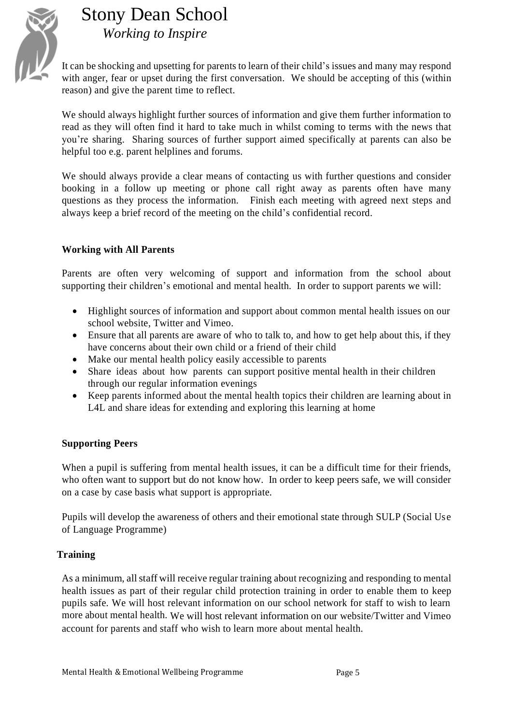

It can be shocking and upsetting for parents to learn of their child's issues and many may respond with anger, fear or upset during the first conversation. We should be accepting of this (within reason) and give the parent time to reflect.

We should always highlight further sources of information and give them further information to read as they will often find it hard to take much in whilst coming to terms with the news that you're sharing. Sharing sources of further support aimed specifically at parents can also be helpful too e.g. parent helplines and forums.

We should always provide a clear means of contacting us with further questions and consider booking in a follow up meeting or phone call right away as parents often have many questions as they process the information. Finish each meeting with agreed next steps and always keep a brief record of the meeting on the child's confidential record.

#### **Working with All Parents**

Parents are often very welcoming of support and information from the school about supporting their children's emotional and mental health. In order to support parents we will:

- Highlight sources of information and support about common mental health issues on our school website, Twitter and Vimeo.
- Ensure that all parents are aware of who to talk to, and how to get help about this, if they have concerns about their own child or a friend of their child
- Make our mental health policy easily accessible to parents
- Share ideas about how parents can support positive mental health in their children through our regular information evenings
- Keep parents informed about the mental health topics their children are learning about in L4L and share ideas for extending and exploring this learning at home

#### **Supporting Peers**

When a pupil is suffering from mental health issues, it can be a difficult time for their friends, who often want to support but do not know how. In order to keep peers safe, we will consider on a case by case basis what support is appropriate.

Pupils will develop the awareness of others and their emotional state through SULP (Social Us e of Language Programme)

#### **Training**

As a minimum, all staff will receive regular training about recognizing and responding to mental health issues as part of their regular child protection training in order to enable them to keep pupils safe. We will host relevant information on our school network for staff to wish to learn more about mental health. We will host relevant information on our website/Twitter and Vimeo account for parents and staff who wish to learn more about mental health.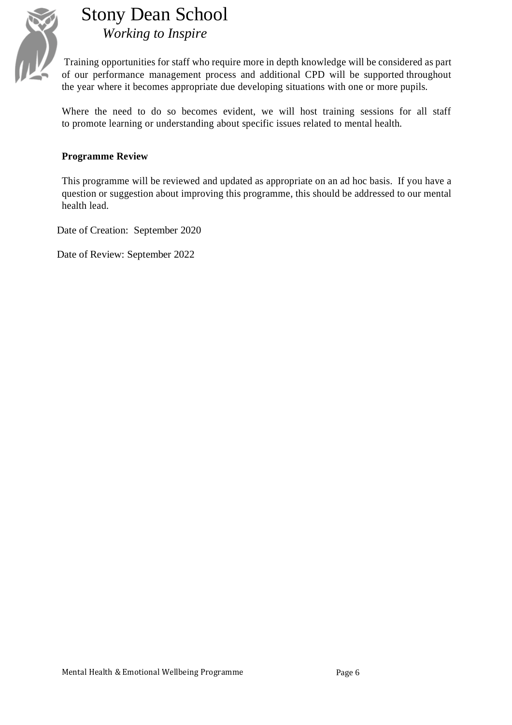

Training opportunities for staff who require more in depth knowledge will be considered as part of our performance management process and additional CPD will be supported throughout the year where it becomes appropriate due developing situations with one or more pupils.

Where the need to do so becomes evident, we will host training sessions for all staff to promote learning or understanding about specific issues related to mental health.

#### **Programme Review**

This programme will be reviewed and updated as appropriate on an ad hoc basis. If you have a question or suggestion about improving this programme, this should be addressed to our mental health lead.

Date of Creation: September 2020

Date of Review: September 2022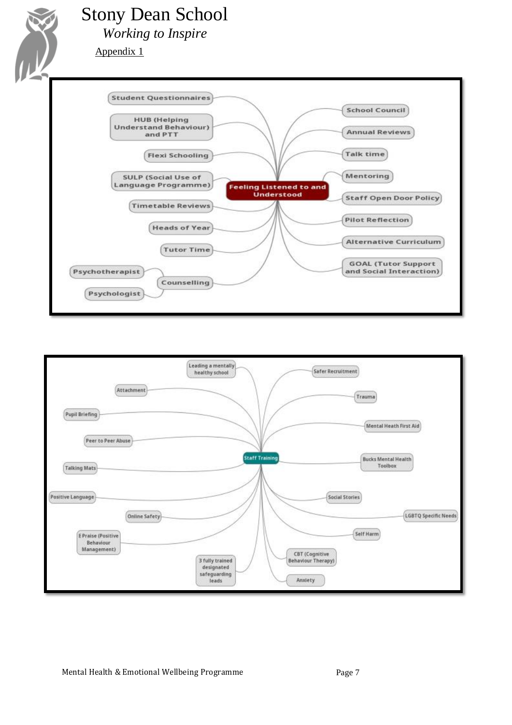

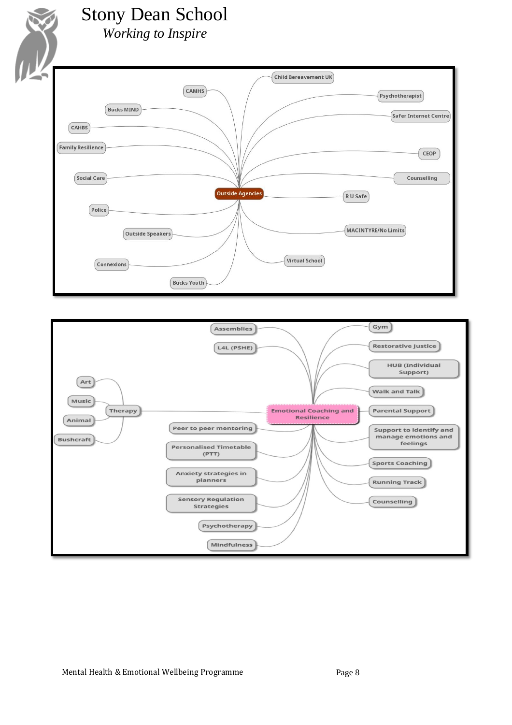

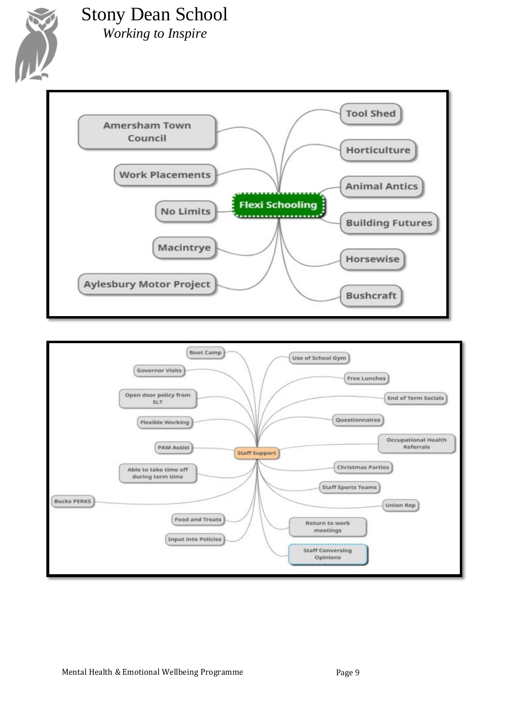

# Stony Dean School

*Working to Inspire*